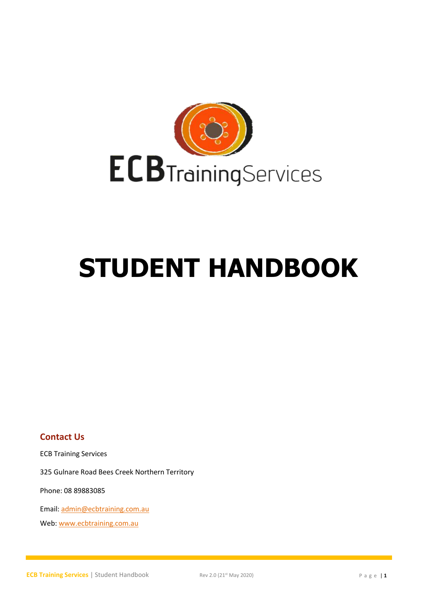

# **STUDENT HANDBOOK**

**Contact Us**

ECB Training Services

325 Gulnare Road Bees Creek Northern Territory

Phone: 08 89883085

Email[: admin@ecbtraining.com.au](mailto:admin@ecbtraining.com.au)

Web: [www.ecbtraining.com.au](http://www.ecbtraining.com.au/)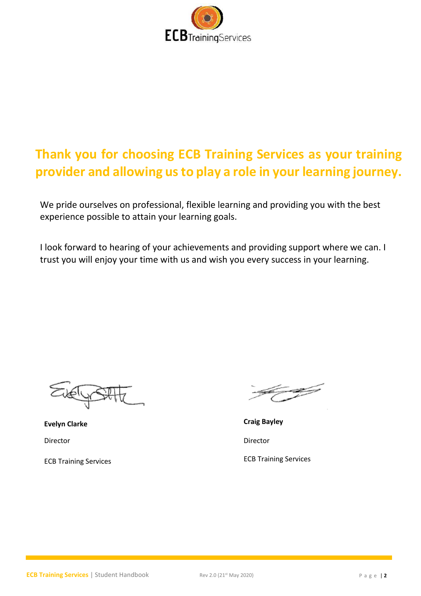

# **Thank you for choosing ECB Training Services as your training provider and allowing us to play a role in your learning journey.**

We pride ourselves on professional, flexible learning and providing you with the best experience possible to attain your learning goals.

I look forward to hearing of your achievements and providing support where we can. I trust you will enjoy your time with us and wish you every success in your learning.

Director Director

ECB Training Services ECB Training Services

**Evelyn Clarke Craig Bayley**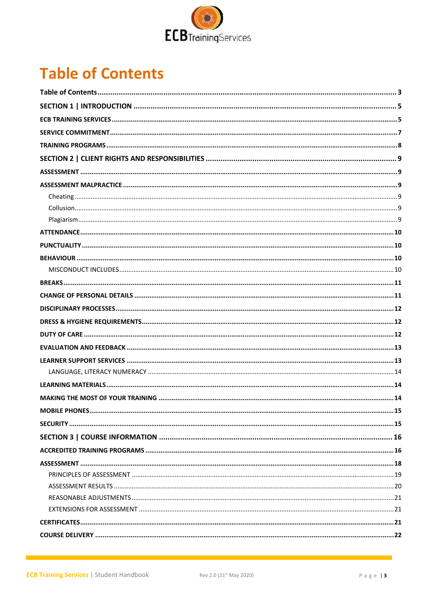

# <span id="page-2-0"></span>**Table of Contents**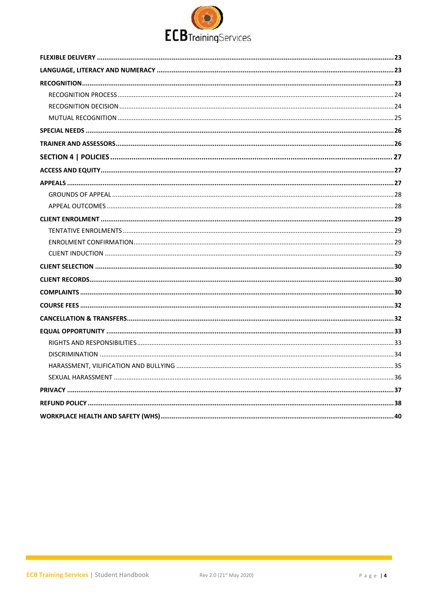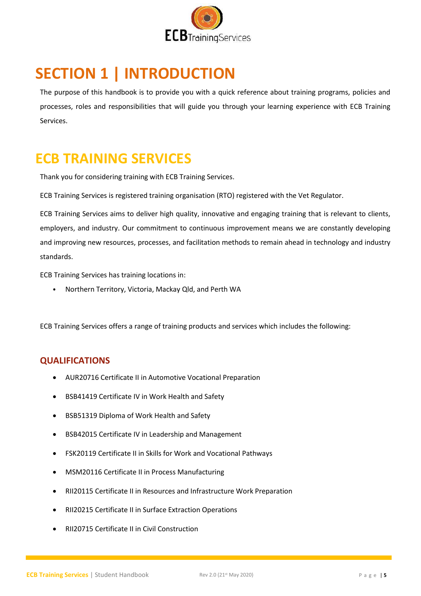

# <span id="page-4-0"></span>**SECTION 1 | INTRODUCTION**

The purpose of this handbook is to provide you with a quick reference about training programs, policies and processes, roles and responsibilities that will guide you through your learning experience with ECB Training Services.

### <span id="page-4-1"></span>**ECB TRAINING SERVICES**

Thank you for considering training with ECB Training Services.

ECB Training Services is registered training organisation (RTO) registered with the Vet Regulator.

ECB Training Services aims to deliver high quality, innovative and engaging training that is relevant to clients, employers, and industry. Our commitment to continuous improvement means we are constantly developing and improving new resources, processes, and facilitation methods to remain ahead in technology and industry standards.

ECB Training Services has training locations in:

• Northern Territory, Victoria, Mackay Qld, and Perth WA

ECB Training Services offers a range of training products and services which includes the following:

#### **QUALIFICATIONS**

- AUR20716 Certificate II in Automotive Vocational Preparation
- BSB41419 Certificate IV in Work Health and Safety
- BSB51319 Diploma of Work Health and Safety
- BSB42015 Certificate IV in Leadership and Management
- FSK20119 Certificate II in Skills for Work and Vocational Pathways
- MSM20116 Certificate II in Process Manufacturing
- RII20115 Certificate II in Resources and Infrastructure Work Preparation
- RII20215 Certificate II in Surface Extraction Operations
- RII20715 Certificate II in Civil Construction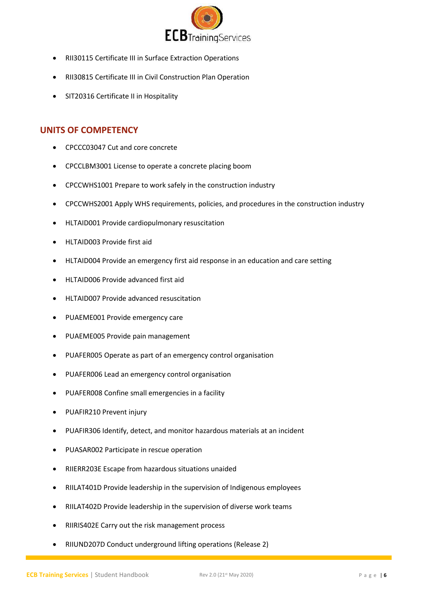

- RII30115 Certificate III in Surface Extraction Operations
- RII30815 Certificate III in Civil Construction Plan Operation
- SIT20316 Certificate II in Hospitality

#### **UNITS OF COMPETENCY**

- CPCCC03047 Cut and core concrete
- CPCCLBM3001 License to operate a concrete placing boom
- CPCCWHS1001 Prepare to work safely in the construction industry
- CPCCWHS2001 Apply WHS requirements, policies, and procedures in the construction industry
- HLTAID001 Provide cardiopulmonary resuscitation
- HLTAID003 Provide first aid
- HLTAID004 Provide an emergency first aid response in an education and care setting
- HLTAID006 Provide advanced first aid
- HLTAID007 Provide advanced resuscitation
- PUAEME001 Provide emergency care
- PUAEME005 Provide pain management
- PUAFER005 Operate as part of an emergency control organisation
- PUAFER006 Lead an emergency control organisation
- PUAFER008 Confine small emergencies in a facility
- PUAFIR210 Prevent injury
- PUAFIR306 Identify, detect, and monitor hazardous materials at an incident
- PUASAR002 Participate in rescue operation
- RIIERR203E Escape from hazardous situations unaided
- RIILAT401D Provide leadership in the supervision of Indigenous employees
- RIILAT402D Provide leadership in the supervision of diverse work teams
- RIIRIS402E Carry out the risk management process
- RIIUND207D Conduct underground lifting operations (Release 2)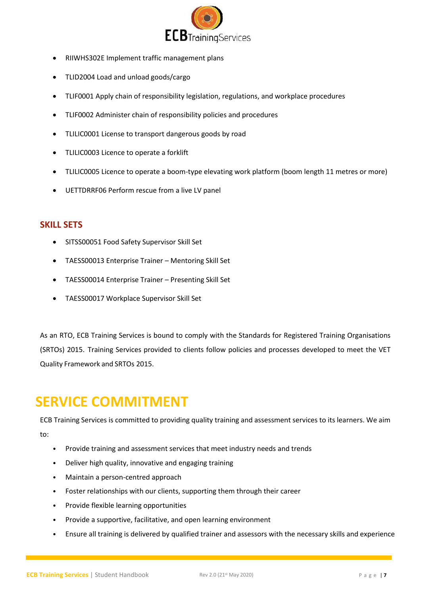

- RIIWHS302E Implement traffic management plans
- TLID2004 Load and unload goods/cargo
- TLIF0001 Apply chain of responsibility legislation, regulations, and workplace procedures
- TLIF0002 Administer chain of responsibility policies and procedures
- TLILIC0001 License to transport dangerous goods by road
- TLILIC0003 Licence to operate a forklift
- TLILIC0005 Licence to operate a boom-type elevating work platform (boom length 11 metres or more)
- UETTDRRF06 Perform rescue from a live LV panel

#### **SKILL SETS**

- SITSS00051 Food Safety Supervisor Skill Set
- TAESS00013 Enterprise Trainer Mentoring Skill Set
- TAESS00014 Enterprise Trainer Presenting Skill Set
- TAESS00017 Workplace Supervisor Skill Set

As an RTO, ECB Training Services is bound to comply with the Standards for Registered Training Organisations (SRTOs) 2015. Training Services provided to clients follow policies and processes developed to meet the VET Quality Framework and SRTOs 2015.

# <span id="page-6-0"></span>**SERVICE COMMITMENT**

ECB Training Services is committed to providing quality training and assessment services to its learners. We aim to:

- Provide training and assessment services that meet industry needs and trends
- Deliver high quality, innovative and engaging training
- Maintain a person-centred approach
- Foster relationships with our clients, supporting them through their career
- Provide flexible learning opportunities
- Provide a supportive, facilitative, and open learning environment
- Ensure all training is delivered by qualified trainer and assessors with the necessary skills and experience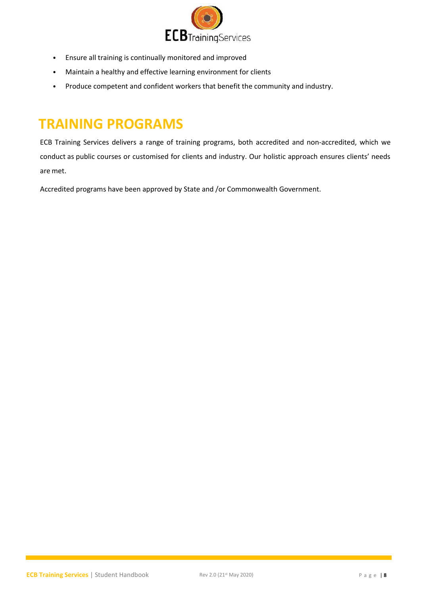

- Ensure all training is continually monitored and improved
- Maintain a healthy and effective learning environment for clients
- Produce competent and confident workers that benefit the community and industry.

# <span id="page-7-0"></span>**TRAINING PROGRAMS**

ECB Training Services delivers a range of training programs, both accredited and non-accredited, which we conduct as public courses or customised for clients and industry. Our holistic approach ensures clients' needs are met.

Accredited programs have been approved by State and /or Commonwealth Government.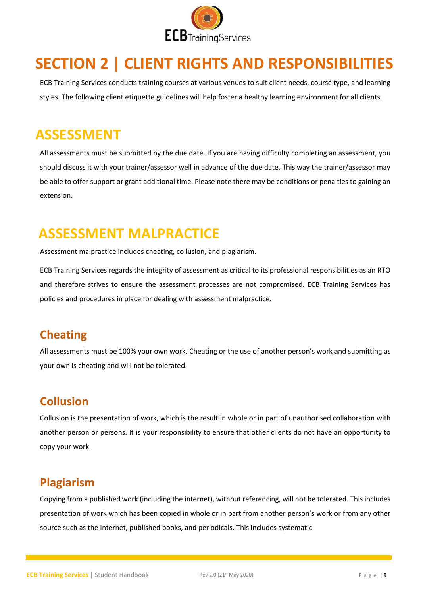

# <span id="page-8-0"></span>**SECTION 2 | CLIENT RIGHTS AND RESPONSIBILITIES**

ECB Training Services conducts training courses at various venues to suit client needs, course type, and learning styles. The following client etiquette guidelines will help foster a healthy learning environment for all clients.

# <span id="page-8-1"></span>**ASSESSMENT**

All assessments must be submitted by the due date. If you are having difficulty completing an assessment, you should discuss it with your trainer/assessor well in advance of the due date. This way the trainer/assessor may be able to offer support or grant additional time. Please note there may be conditions or penalties to gaining an extension.

# <span id="page-8-2"></span>**ASSESSMENT MALPRACTICE**

Assessment malpractice includes cheating, collusion, and plagiarism.

ECB Training Services regards the integrity of assessment as critical to its professional responsibilities as an RTO and therefore strives to ensure the assessment processes are not compromised. ECB Training Services has policies and procedures in place for dealing with assessment malpractice.

### <span id="page-8-3"></span>**Cheating**

All assessments must be 100% your own work. Cheating or the use of another person's work and submitting as your own is cheating and will not be tolerated.

### <span id="page-8-4"></span>**Collusion**

Collusion is the presentation of work, which is the result in whole or in part of unauthorised collaboration with another person or persons. It is your responsibility to ensure that other clients do not have an opportunity to copy your work.

### <span id="page-8-5"></span>**Plagiarism**

Copying from a published work (including the internet), without referencing, will not be tolerated. This includes presentation of work which has been copied in whole or in part from another person's work or from any other source such as the Internet, published books, and periodicals. This includes systematic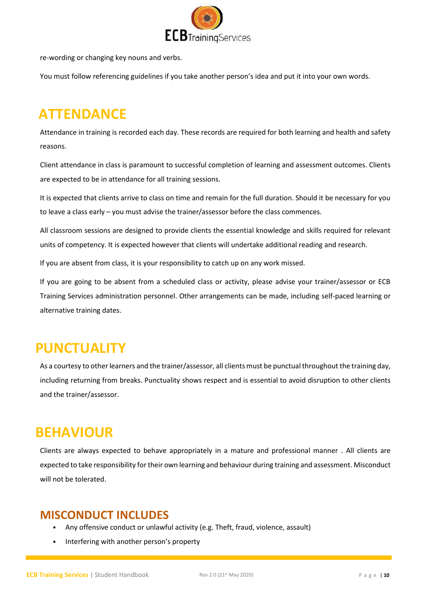

re-wording or changing key nouns and verbs.

You must follow referencing guidelines if you take another person's idea and put it into your own words.

# <span id="page-9-0"></span>**ATTENDANCE**

Attendance in training is recorded each day. These records are required for both learning and health and safety reasons.

Client attendance in class is paramount to successful completion of learning and assessment outcomes. Clients are expected to be in attendance for all training sessions.

It is expected that clients arrive to class on time and remain for the full duration. Should it be necessary for you to leave a class early – you must advise the trainer/assessor before the class commences.

All classroom sessions are designed to provide clients the essential knowledge and skills required for relevant units of competency. It is expected however that clients will undertake additional reading and research.

If you are absent from class, it is your responsibility to catch up on any work missed.

If you are going to be absent from a scheduled class or activity, please advise your trainer/assessor or ECB Training Services administration personnel. Other arrangements can be made, including self-paced learning or alternative training dates.

### <span id="page-9-1"></span>**PUNCTUALITY**

As a courtesy to other learners and the trainer/assessor, all clients must be punctual throughout the training day, including returning from breaks. Punctuality shows respect and is essential to avoid disruption to other clients and the trainer/assessor.

### <span id="page-9-2"></span>**BEHAVIOUR**

Clients are always expected to behave appropriately in a mature and professional manner . All clients are expected to take responsibility for their own learning and behaviour during training and assessment. Misconduct will not be tolerated.

#### <span id="page-9-3"></span>**MISCONDUCT INCLUDES**

- Any offensive conduct or unlawful activity (e.g. Theft, fraud, violence, assault)
- Interfering with another person's property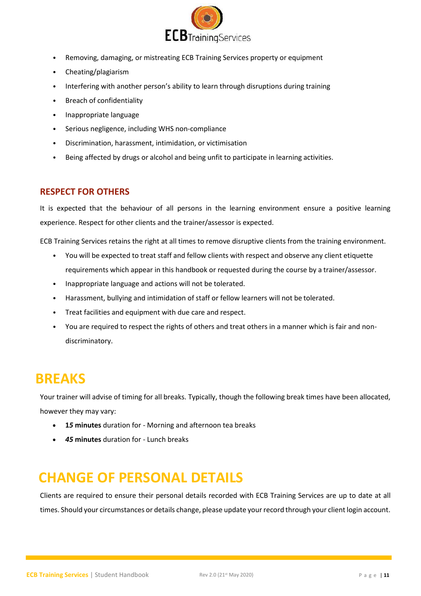

- Removing, damaging, or mistreating ECB Training Services property or equipment
- Cheating/plagiarism
- Interfering with another person's ability to learn through disruptions during training
- Breach of confidentiality
- Inappropriate language
- Serious negligence, including WHS non-compliance
- Discrimination, harassment, intimidation, or victimisation
- Being affected by drugs or alcohol and being unfit to participate in learning activities.

#### **RESPECT FOR OTHERS**

It is expected that the behaviour of all persons in the learning environment ensure a positive learning experience. Respect for other clients and the trainer/assessor is expected.

ECB Training Services retains the right at all times to remove disruptive clients from the training environment.

- You will be expected to treat staff and fellow clients with respect and observe any client etiquette requirements which appear in this handbook or requested during the course by a trainer/assessor.
- Inappropriate language and actions will not be tolerated.
- Harassment, bullying and intimidation of staff or fellow learners will not be tolerated.
- Treat facilities and equipment with due care and respect.
- You are required to respect the rights of others and treat others in a manner which is fair and nondiscriminatory.

### <span id="page-10-0"></span>**BREAKS**

Your trainer will advise of timing for all breaks. Typically, though the following break times have been allocated, however they may vary:

- **1***5* **minutes** duration for Morning and afternoon tea breaks
- *45* **minutes** duration for Lunch breaks

# <span id="page-10-1"></span>**CHANGE OF PERSONAL DETAILS**

Clients are required to ensure their personal details recorded with ECB Training Services are up to date at all times. Should your circumstances or details change, please update your record through your client login account.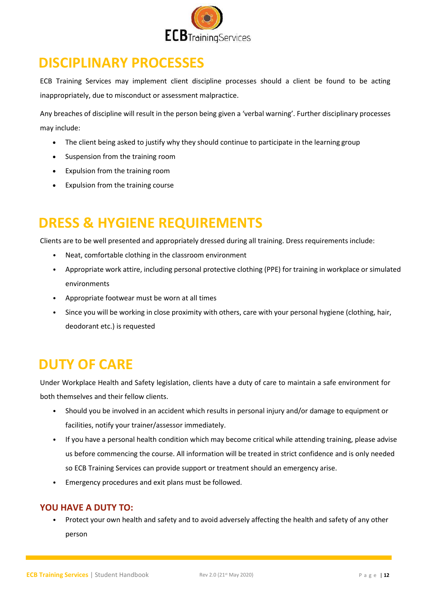

### <span id="page-11-0"></span>**DISCIPLINARY PROCESSES**

ECB Training Services may implement client discipline processes should a client be found to be acting inappropriately, due to misconduct or assessment malpractice.

Any breaches of discipline will result in the person being given a 'verbal warning'. Further disciplinary processes may include:

- The client being asked to justify why they should continue to participate in the learning group
- Suspension from the training room
- Expulsion from the training room
- Expulsion from the training course

# <span id="page-11-1"></span>**DRESS & HYGIENE REQUIREMENTS**

Clients are to be well presented and appropriately dressed during all training. Dress requirements include:

- Neat, comfortable clothing in the classroom environment
- Appropriate work attire, including personal protective clothing (PPE) for training in workplace or simulated environments
- Appropriate footwear must be worn at all times
- Since you will be working in close proximity with others, care with your personal hygiene (clothing, hair, deodorant etc.) is requested

### <span id="page-11-2"></span>**DUTY OF CARE**

Under Workplace Health and Safety legislation, clients have a duty of care to maintain a safe environment for both themselves and their fellow clients.

- Should you be involved in an accident which results in personal injury and/or damage to equipment or facilities, notify your trainer/assessor immediately.
- If you have a personal health condition which may become critical while attending training, please advise us before commencing the course. All information will be treated in strict confidence and is only needed so ECB Training Services can provide support or treatment should an emergency arise.
- Emergency procedures and exit plans must be followed.

#### **YOU HAVE A DUTY TO:**

• Protect your own health and safety and to avoid adversely affecting the health and safety of any other person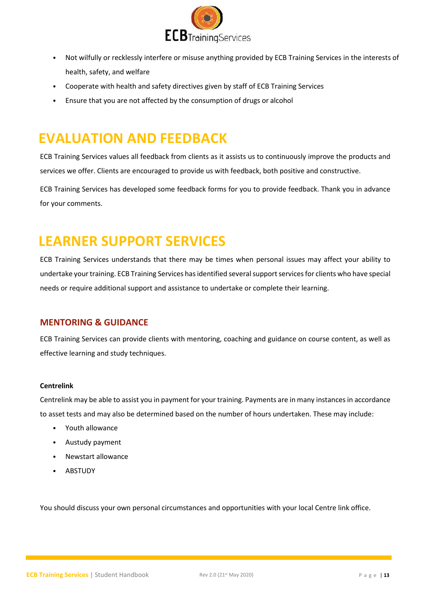

- Not wilfully or recklessly interfere or misuse anything provided by ECB Training Services in the interests of health, safety, and welfare
- Cooperate with health and safety directives given by staff of ECB Training Services
- Ensure that you are not affected by the consumption of drugs or alcohol

# <span id="page-12-0"></span>**EVALUATION AND FEEDBACK**

ECB Training Services values all feedback from clients as it assists us to continuously improve the products and services we offer. Clients are encouraged to provide us with feedback, both positive and constructive.

ECB Training Services has developed some feedback forms for you to provide feedback. Thank you in advance for your comments.

### <span id="page-12-1"></span>**LEARNER SUPPORT SERVICES**

ECB Training Services understands that there may be times when personal issues may affect your ability to undertake your training. ECB Training Services has identified severalsupport services for clients who have special needs or require additional support and assistance to undertake or complete their learning.

#### **MENTORING & GUIDANCE**

ECB Training Services can provide clients with mentoring, coaching and guidance on course content, as well as effective learning and study techniques.

#### **Centrelink**

Centrelink may be able to assist you in payment for your training. Payments are in many instances in accordance to asset tests and may also be determined based on the number of hours undertaken. These may include:

- Youth allowance
- Austudy payment
- Newstart allowance
- **ABSTUDY**

You should discuss your own personal circumstances and opportunities with your local Centre link office.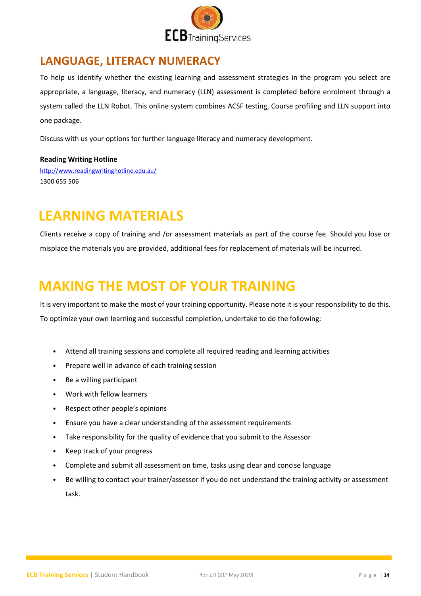

### <span id="page-13-0"></span>**LANGUAGE, LITERACY NUMERACY**

To help us identify whether the existing learning and assessment strategies in the program you select are appropriate, a language, literacy, and numeracy (LLN) assessment is completed before enrolment through a system called the LLN Robot. This online system combines ACSF testing, Course profiling and LLN support into one package.

Discuss with us your options for further language literacy and numeracy development.

#### **Reading Writing Hotline**

<http://www.readingwritinghotline.edu.au/> 1300 655 506

### <span id="page-13-1"></span>**LEARNING MATERIALS**

Clients receive a copy of training and /or assessment materials as part of the course fee. Should you lose or misplace the materials you are provided, additional fees for replacement of materials will be incurred.

### <span id="page-13-2"></span>**MAKING THE MOST OF YOUR TRAINING**

It is very important to make the most of your training opportunity. Please note it is your responsibility to do this. To optimize your own learning and successful completion, undertake to do the following:

- Attend all training sessions and complete all required reading and learning activities
- Prepare well in advance of each training session
- Be a willing participant
- Work with fellow learners
- Respect other people's opinions
- Ensure you have a clear understanding of the assessment requirements
- Take responsibility for the quality of evidence that you submit to the Assessor
- Keep track of your progress
- Complete and submit all assessment on time, tasks using clear and concise language
- Be willing to contact your trainer/assessor if you do not understand the training activity or assessment task.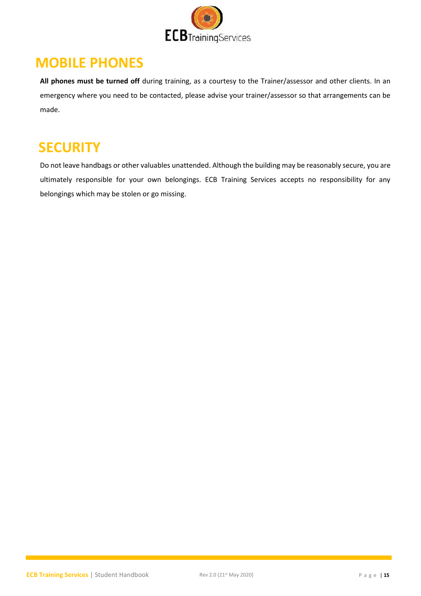

### <span id="page-14-0"></span>**MOBILE PHONES**

**All phones must be turned off** during training, as a courtesy to the Trainer/assessor and other clients. In an emergency where you need to be contacted, please advise your trainer/assessor so that arrangements can be made.

### <span id="page-14-1"></span>**SECURITY**

Do not leave handbags or other valuables unattended. Although the building may be reasonably secure, you are ultimately responsible for your own belongings. ECB Training Services accepts no responsibility for any belongings which may be stolen or go missing.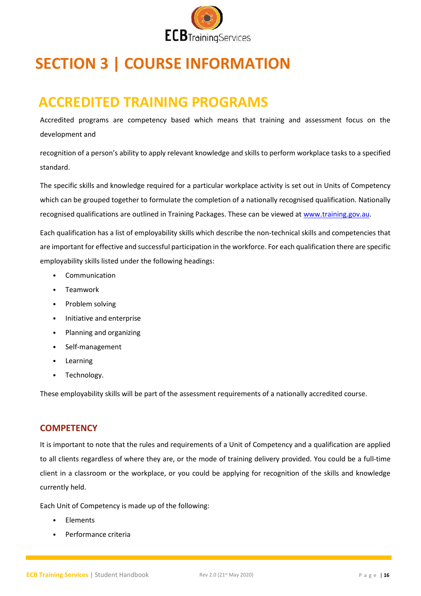

# <span id="page-15-0"></span>**SECTION 3 | COURSE INFORMATION**

# <span id="page-15-1"></span>**ACCREDITED TRAINING PROGRAMS**

Accredited programs are competency based which means that training and assessment focus on the development and

recognition of a person's ability to apply relevant knowledge and skills to perform workplace tasks to a specified standard.

The specific skills and knowledge required for a particular workplace activity is set out in Units of Competency which can be grouped together to formulate the completion of a nationally recognised qualification. Nationally recognised qualifications are outlined in Training Packages. These can be viewed a[t www.training.gov.au.](http://www.training.gov.au/)

Each qualification has a list of employability skills which describe the non-technical skills and competencies that are important for effective and successful participation in the workforce. For each qualification there are specific employability skills listed under the following headings:

- Communication
- Teamwork
- Problem solving
- Initiative and enterprise
- Planning and organizing
- Self-management
- Learning
- Technology.

These employability skills will be part of the assessment requirements of a nationally accredited course.

#### **COMPETENCY**

It is important to note that the rules and requirements of a Unit of Competency and a qualification are applied to all clients regardless of where they are, or the mode of training delivery provided. You could be a full-time client in a classroom or the workplace, or you could be applying for recognition of the skills and knowledge currently held.

Each Unit of Competency is made up of the following:

- **Elements**
- Performance criteria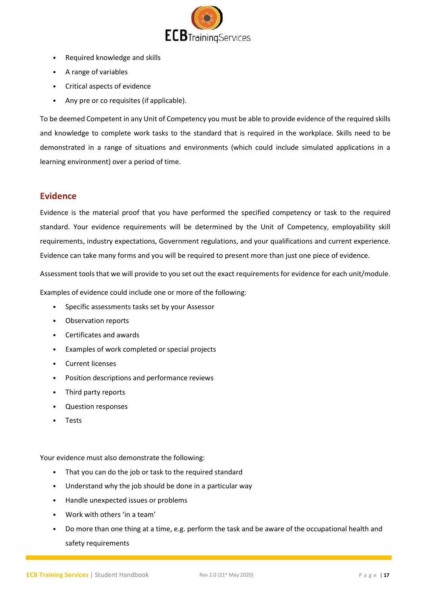

- Required knowledge and skills
- A range of variables
- Critical aspects of evidence
- Any pre or co requisites (if applicable).

To be deemed Competent in any Unit of Competency you must be able to provide evidence of the required skills and knowledge to complete work tasks to the standard that is required in the workplace. Skills need to be demonstrated in a range of situations and environments (which could include simulated applications in a learning environment) over a period of time.

#### **Evidence**

Evidence is the material proof that you have performed the specified competency or task to the required standard. Your evidence requirements will be determined by the Unit of Competency, employability skill requirements, industry expectations, Government regulations, and your qualifications and current experience. Evidence can take many forms and you will be required to present more than just one piece of evidence.

Assessment tools that we will provide to you set out the exact requirements for evidence for each unit/module.

Examples of evidence could include one or more of the following:

- Specific assessments tasks set by your Assessor
- Observation reports
- Certificates and awards
- Examples of work completed or special projects
- Current licenses
- Position descriptions and performance reviews
- Third party reports
- Question responses
- **Tests**

Your evidence must also demonstrate the following:

- That you can do the job or task to the required standard
- Understand why the job should be done in a particular way
- Handle unexpected issues or problems
- Work with others 'in a team'
- Do more than one thing at a time, e.g. perform the task and be aware of the occupational health and safety requirements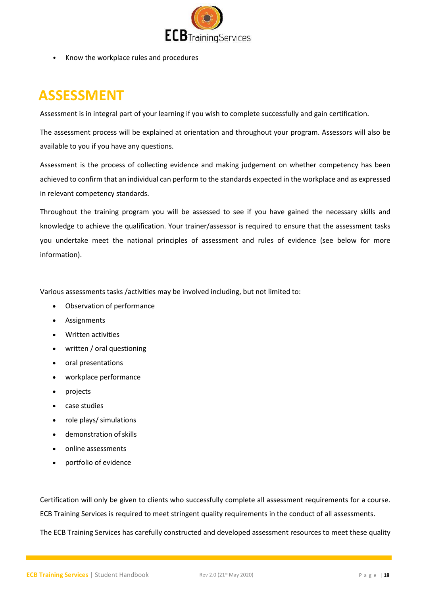

• Know the workplace rules and procedures

# <span id="page-17-0"></span>**ASSESSMENT**

Assessment is in integral part of your learning if you wish to complete successfully and gain certification.

The assessment process will be explained at orientation and throughout your program. Assessors will also be available to you if you have any questions.

Assessment is the process of collecting evidence and making judgement on whether competency has been achieved to confirm that an individual can perform to the standards expected in the workplace and as expressed in relevant competency standards.

Throughout the training program you will be assessed to see if you have gained the necessary skills and knowledge to achieve the qualification. Your trainer/assessor is required to ensure that the assessment tasks you undertake meet the national principles of assessment and rules of evidence (see below for more information).

Various assessments tasks /activities may be involved including, but not limited to:

- Observation of performance
- Assignments
- Written activities
- written / oral questioning
- oral presentations
- workplace performance
- projects
- case studies
- role plays/simulations
- demonstration ofskills
- online assessments
- portfolio of evidence

Certification will only be given to clients who successfully complete all assessment requirements for a course. ECB Training Services is required to meet stringent quality requirements in the conduct of all assessments.

The ECB Training Services has carefully constructed and developed assessment resources to meet these quality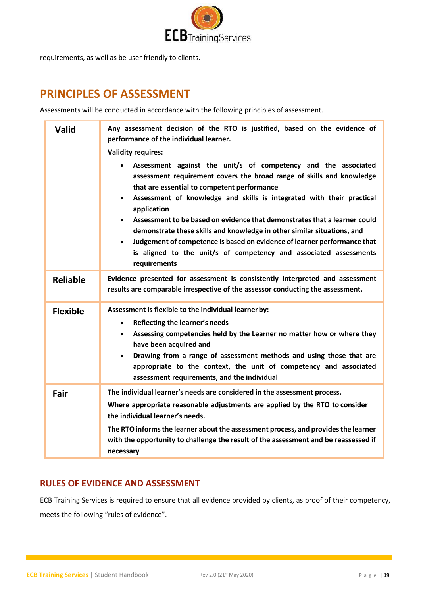

requirements, as well as be user friendly to clients.

### <span id="page-18-0"></span>**PRINCIPLES OF ASSESSMENT**

Assessments will be conducted in accordance with the following principles of assessment.

| <b>Valid</b>    | Any assessment decision of the RTO is justified, based on the evidence of<br>performance of the individual learner.<br><b>Validity requires:</b>                                                                                                                                                                                                                                                                                                                                                                                                                                                                                                            |
|-----------------|-------------------------------------------------------------------------------------------------------------------------------------------------------------------------------------------------------------------------------------------------------------------------------------------------------------------------------------------------------------------------------------------------------------------------------------------------------------------------------------------------------------------------------------------------------------------------------------------------------------------------------------------------------------|
|                 | Assessment against the unit/s of competency and the associated<br>$\bullet$<br>assessment requirement covers the broad range of skills and knowledge<br>that are essential to competent performance<br>Assessment of knowledge and skills is integrated with their practical<br>$\bullet$<br>application<br>Assessment to be based on evidence that demonstrates that a learner could<br>$\bullet$<br>demonstrate these skills and knowledge in other similar situations, and<br>Judgement of competence is based on evidence of learner performance that<br>$\bullet$<br>is aligned to the unit/s of competency and associated assessments<br>requirements |
| <b>Reliable</b> | Evidence presented for assessment is consistently interpreted and assessment<br>results are comparable irrespective of the assessor conducting the assessment.                                                                                                                                                                                                                                                                                                                                                                                                                                                                                              |
| <b>Flexible</b> | Assessment is flexible to the individual learner by:<br>Reflecting the learner's needs<br>$\bullet$<br>Assessing competencies held by the Learner no matter how or where they<br>$\bullet$<br>have been acquired and<br>Drawing from a range of assessment methods and using those that are<br>$\bullet$<br>appropriate to the context, the unit of competency and associated<br>assessment requirements, and the individual                                                                                                                                                                                                                                |
| Fair            | The individual learner's needs are considered in the assessment process.<br>Where appropriate reasonable adjustments are applied by the RTO to consider<br>the individual learner's needs.<br>The RTO informs the learner about the assessment process, and provides the learner<br>with the opportunity to challenge the result of the assessment and be reassessed if<br>necessary                                                                                                                                                                                                                                                                        |

#### **RULES OF EVIDENCE AND ASSESSMENT**

ECB Training Services is required to ensure that all evidence provided by clients, as proof of their competency, meets the following "rules of evidence".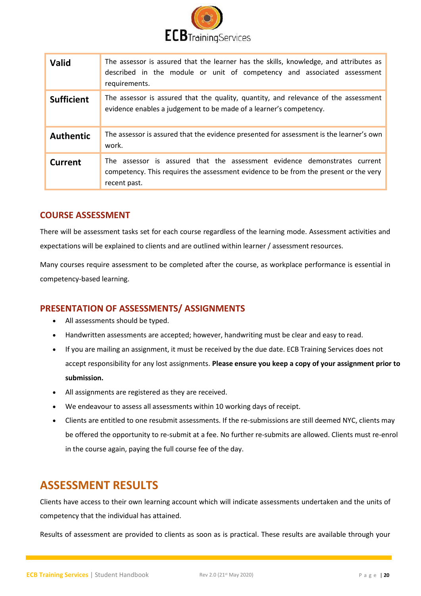

| <b>Valid</b>      | The assessor is assured that the learner has the skills, knowledge, and attributes as<br>described in the module or unit of competency and associated assessment<br>requirements. |
|-------------------|-----------------------------------------------------------------------------------------------------------------------------------------------------------------------------------|
| <b>Sufficient</b> | The assessor is assured that the quality, quantity, and relevance of the assessment<br>evidence enables a judgement to be made of a learner's competency.                         |
| <b>Authentic</b>  | The assessor is assured that the evidence presented for assessment is the learner's own<br>work.                                                                                  |
| <b>Current</b>    | The assessor is assured that the assessment evidence demonstrates current<br>competency. This requires the assessment evidence to be from the present or the very<br>recent past. |

#### **COURSE ASSESSMENT**

There will be assessment tasks set for each course regardless of the learning mode. Assessment activities and expectations will be explained to clients and are outlined within learner / assessment resources.

Many courses require assessment to be completed after the course, as workplace performance is essential in competency-based learning.

#### **PRESENTATION OF ASSESSMENTS/ ASSIGNMENTS**

- All assessments should be typed.
- Handwritten assessments are accepted; however, handwriting must be clear and easy to read.
- If you are mailing an assignment, it must be received by the due date. ECB Training Services does not accept responsibility for any lost assignments. **Please ensure you keep a copy of your assignment prior to submission.**
- All assignments are registered as they are received.
- We endeavour to assess all assessments within 10 working days of receipt.
- Clients are entitled to one resubmit assessments. If the re-submissions are still deemed NYC, clients may be offered the opportunity to re-submit at a fee. No further re-submits are allowed. Clients must re-enrol in the course again, paying the full course fee of the day.

#### <span id="page-19-0"></span>**ASSESSMENT RESULTS**

Clients have access to their own learning account which will indicate assessments undertaken and the units of competency that the individual has attained.

Results of assessment are provided to clients as soon as is practical. These results are available through your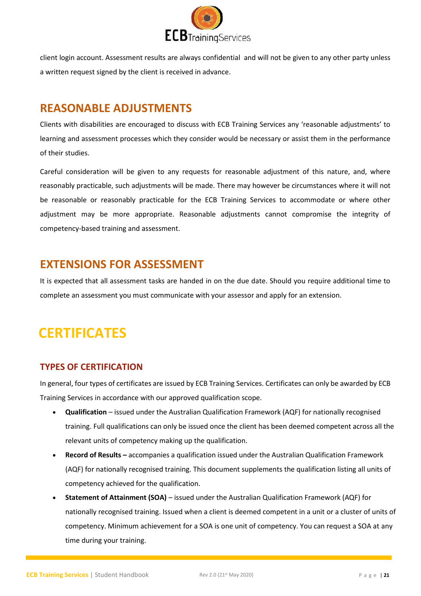

client login account. Assessment results are always confidential and will not be given to any other party unless a written request signed by the client is received in advance.

### <span id="page-20-0"></span>**REASONABLE ADJUSTMENTS**

Clients with disabilities are encouraged to discuss with ECB Training Services any 'reasonable adjustments' to learning and assessment processes which they consider would be necessary or assist them in the performance of their studies.

Careful consideration will be given to any requests for reasonable adjustment of this nature, and, where reasonably practicable, such adjustments will be made. There may however be circumstances where it will not be reasonable or reasonably practicable for the ECB Training Services to accommodate or where other adjustment may be more appropriate. Reasonable adjustments cannot compromise the integrity of competency-based training and assessment.

### <span id="page-20-1"></span>**EXTENSIONS FOR ASSESSMENT**

It is expected that all assessment tasks are handed in on the due date. Should you require additional time to complete an assessment you must communicate with your assessor and apply for an extension.

# <span id="page-20-2"></span>**CERTIFICATES**

#### **TYPES OF CERTIFICATION**

In general, four types of certificates are issued by ECB Training Services. Certificates can only be awarded by ECB Training Services in accordance with our approved qualification scope.

- **Qualification**  issued under the Australian Qualification Framework (AQF) for nationally recognised training. Full qualifications can only be issued once the client has been deemed competent across all the relevant units of competency making up the qualification.
- **Record of Results –** accompanies a qualification issued under the Australian Qualification Framework (AQF) for nationally recognised training. This document supplements the qualification listing all units of competency achieved for the qualification.
- **Statement of Attainment (SOA)**  issued under the Australian Qualification Framework (AQF) for nationally recognised training. Issued when a client is deemed competent in a unit or a cluster of units of competency. Minimum achievement for a SOA is one unit of competency. You can request a SOA at any time during your training.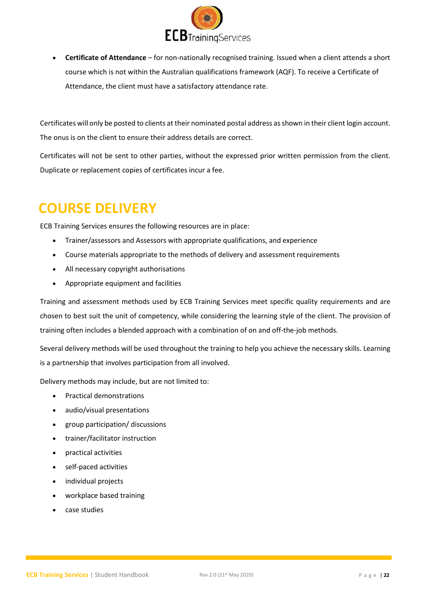

• **Certificate of Attendance** – for non-nationally recognised training. Issued when a client attends a short course which is not within the Australian qualifications framework (AQF). To receive a Certificate of Attendance, the client must have a satisfactory attendance rate.

Certificates will only be posted to clients at their nominated postal address as shown in their client login account. The onus is on the client to ensure their address details are correct.

Certificates will not be sent to other parties, without the expressed prior written permission from the client. Duplicate or replacement copies of certificates incur a fee.

# <span id="page-21-0"></span>**COURSE DELIVERY**

ECB Training Services ensures the following resources are in place:

- Trainer/assessors and Assessors with appropriate qualifications, and experience
- Course materials appropriate to the methods of delivery and assessment requirements
- All necessary copyright authorisations
- Appropriate equipment and facilities

Training and assessment methods used by ECB Training Services meet specific quality requirements and are chosen to best suit the unit of competency, while considering the learning style of the client. The provision of training often includes a blended approach with a combination of on and off-the-job methods.

Several delivery methods will be used throughout the training to help you achieve the necessary skills. Learning is a partnership that involves participation from all involved.

Delivery methods may include, but are not limited to:

- Practical demonstrations
- audio/visual presentations
- group participation/ discussions
- trainer/facilitator instruction
- practical activities
- self-paced activities
- individual projects
- workplace based training
- case studies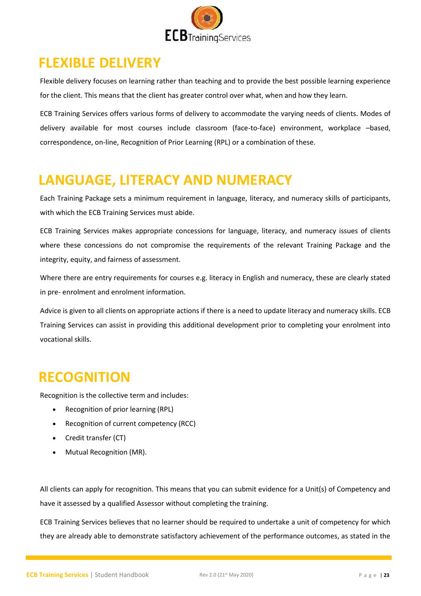

### <span id="page-22-0"></span>**FLEXIBLE DELIVERY**

Flexible delivery focuses on learning rather than teaching and to provide the best possible learning experience for the client. This means that the client has greater control over what, when and how they learn.

ECB Training Services offers various forms of delivery to accommodate the varying needs of clients. Modes of delivery available for most courses include classroom (face-to-face) environment, workplace –based, correspondence, on-line, Recognition of Prior Learning (RPL) or a combination of these.

# <span id="page-22-1"></span>**LANGUAGE, LITERACY AND NUMERACY**

Each Training Package sets a minimum requirement in language, literacy, and numeracy skills of participants, with which the ECB Training Services must abide.

ECB Training Services makes appropriate concessions for language, literacy, and numeracy issues of clients where these concessions do not compromise the requirements of the relevant Training Package and the integrity, equity, and fairness of assessment.

Where there are entry requirements for courses e.g. literacy in English and numeracy, these are clearly stated in pre- enrolment and enrolment information.

Advice is given to all clients on appropriate actions if there is a need to update literacy and numeracy skills. ECB Training Services can assist in providing this additional development prior to completing your enrolment into vocational skills.

### <span id="page-22-2"></span>**RECOGNITION**

Recognition is the collective term and includes:

- Recognition of prior learning (RPL)
- Recognition of current competency (RCC)
- Credit transfer (CT)
- Mutual Recognition (MR).

All clients can apply for recognition. This means that you can submit evidence for a Unit(s) of Competency and have it assessed by a qualified Assessor without completing the training.

ECB Training Services believes that no learner should be required to undertake a unit of competency for which they are already able to demonstrate satisfactory achievement of the performance outcomes, as stated in the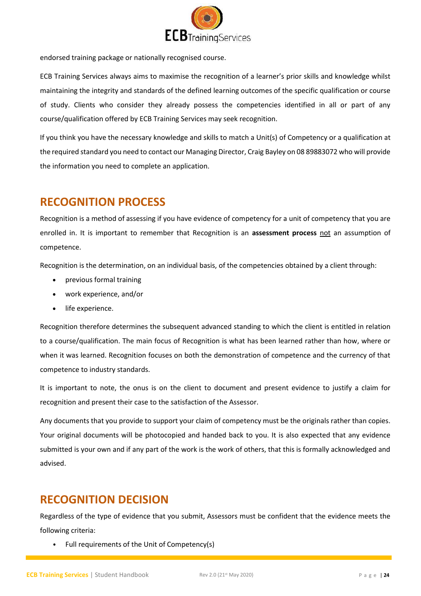

endorsed training package or nationally recognised course.

ECB Training Services always aims to maximise the recognition of a learner's prior skills and knowledge whilst maintaining the integrity and standards of the defined learning outcomes of the specific qualification or course of study. Clients who consider they already possess the competencies identified in all or part of any course/qualification offered by ECB Training Services may seek recognition.

If you think you have the necessary knowledge and skills to match a Unit(s) of Competency or a qualification at the required standard you need to contact our Managing Director, Craig Bayley on 08 89883072 who will provide the information you need to complete an application.

### <span id="page-23-0"></span>**RECOGNITION PROCESS**

Recognition is a method of assessing if you have evidence of competency for a unit of competency that you are enrolled in. It is important to remember that Recognition is an **assessment process** not an assumption of competence.

Recognition is the determination, on an individual basis, of the competencies obtained by a client through:

- previous formal training
- work experience, and/or
- life experience.

Recognition therefore determines the subsequent advanced standing to which the client is entitled in relation to a course/qualification. The main focus of Recognition is what has been learned rather than how, where or when it was learned. Recognition focuses on both the demonstration of competence and the currency of that competence to industry standards.

It is important to note, the onus is on the client to document and present evidence to justify a claim for recognition and present their case to the satisfaction of the Assessor.

Any documents that you provide to support your claim of competency must be the originals rather than copies. Your original documents will be photocopied and handed back to you. It is also expected that any evidence submitted is your own and if any part of the work is the work of others, that this is formally acknowledged and advised.

### <span id="page-23-1"></span>**RECOGNITION DECISION**

Regardless of the type of evidence that you submit, Assessors must be confident that the evidence meets the following criteria:

• Full requirements of the Unit of Competency(s)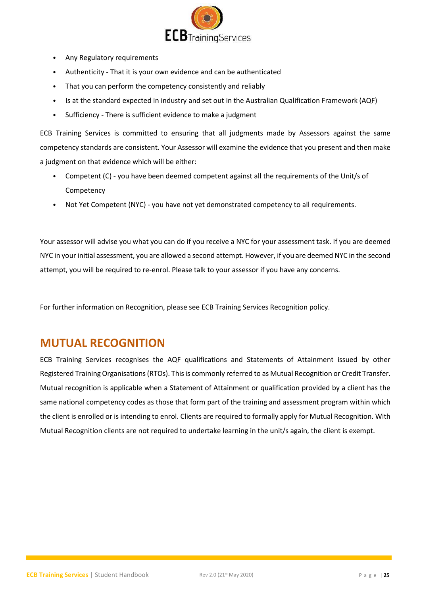

- Any Regulatory requirements
- Authenticity That it is your own evidence and can be authenticated
- That you can perform the competency consistently and reliably
- Is at the standard expected in industry and set out in the Australian Qualification Framework (AQF)
- Sufficiency There is sufficient evidence to make a judgment

ECB Training Services is committed to ensuring that all judgments made by Assessors against the same competency standards are consistent. Your Assessor will examine the evidence that you present and then make a judgment on that evidence which will be either:

- Competent (C) you have been deemed competent against all the requirements of the Unit/s of Competency
- Not Yet Competent (NYC) you have not yet demonstrated competency to all requirements.

Your assessor will advise you what you can do if you receive a NYC for your assessment task. If you are deemed NYC in your initial assessment, you are allowed a second attempt. However, if you are deemed NYC in the second attempt, you will be required to re-enrol. Please talk to your assessor if you have any concerns.

For further information on Recognition, please see ECB Training Services Recognition policy.

#### <span id="page-24-0"></span>**MUTUAL RECOGNITION**

ECB Training Services recognises the AQF qualifications and Statements of Attainment issued by other Registered Training Organisations (RTOs). This is commonly referred to as Mutual Recognition or Credit Transfer. Mutual recognition is applicable when a Statement of Attainment or qualification provided by a client has the same national competency codes as those that form part of the training and assessment program within which the client is enrolled or is intending to enrol. Clients are required to formally apply for Mutual Recognition. With Mutual Recognition clients are not required to undertake learning in the unit/s again, the client is exempt.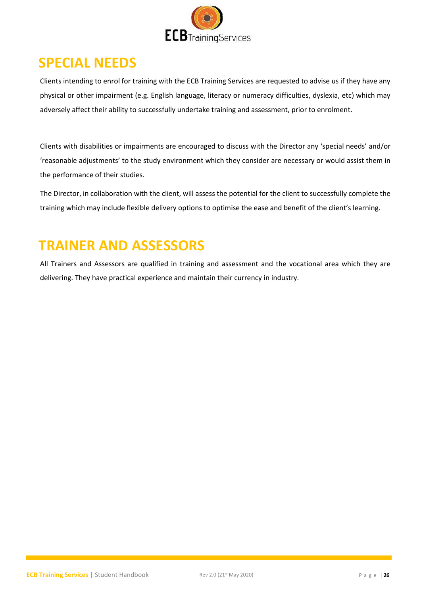

### <span id="page-25-0"></span>**SPECIAL NEEDS**

Clients intending to enrol for training with the ECB Training Services are requested to advise us if they have any physical or other impairment (e.g. English language, literacy or numeracy difficulties, dyslexia, etc) which may adversely affect their ability to successfully undertake training and assessment, prior to enrolment.

Clients with disabilities or impairments are encouraged to discuss with the Director any 'special needs' and/or 'reasonable adjustments' to the study environment which they consider are necessary or would assist them in the performance of their studies.

The Director, in collaboration with the client, will assess the potential for the client to successfully complete the training which may include flexible delivery options to optimise the ease and benefit of the client's learning.

# <span id="page-25-1"></span>**TRAINER AND ASSESSORS**

All Trainers and Assessors are qualified in training and assessment and the vocational area which they are delivering. They have practical experience and maintain their currency in industry.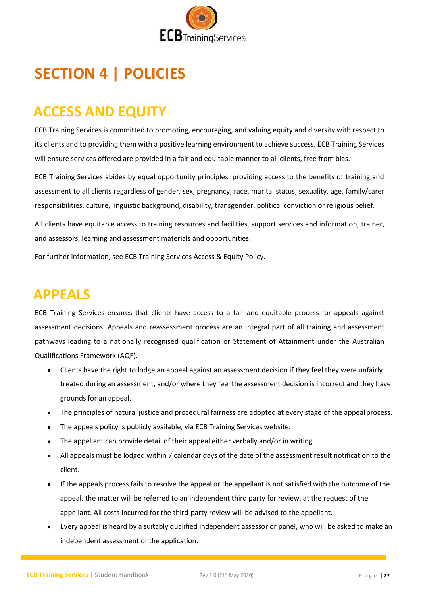

# <span id="page-26-0"></span>**SECTION 4 | POLICIES**

# <span id="page-26-1"></span>**ACCESS AND EQUITY**

ECB Training Services is committed to promoting, encouraging, and valuing equity and diversity with respect to its clients and to providing them with a positive learning environment to achieve success. ECB Training Services will ensure services offered are provided in a fair and equitable manner to all clients, free from bias.

ECB Training Services abides by equal opportunity principles, providing access to the benefits of training and assessment to all clients regardless of gender, sex, pregnancy, race, marital status, sexuality, age, family/carer responsibilities, culture, linguistic background, disability, transgender, political conviction or religious belief.

All clients have equitable access to training resources and facilities, support services and information, trainer, and assessors, learning and assessment materials and opportunities.

For further information, see ECB Training Services Access & Equity Policy.

### <span id="page-26-2"></span>**APPEALS**

ECB Training Services ensures that clients have access to a fair and equitable process for appeals against assessment decisions. Appeals and reassessment process are an integral part of all training and assessment pathways leading to a nationally recognised qualification or Statement of Attainment under the Australian Qualifications Framework (AQF).

- Clients have the right to lodge an appeal against an assessment decision if they feel they were unfairly treated during an assessment, and/or where they feel the assessment decision is incorrect and they have grounds for an appeal.
- The principles of natural justice and procedural fairness are adopted at every stage of the appeal process.
- The appeals policy is publicly available, via ECB Training Services website.
- The appellant can provide detail of their appeal either verbally and/or in writing.
- All appeals must be lodged within 7 calendar days of the date of the assessment result notification to the client.
- If the appeals process fails to resolve the appeal or the appellant is not satisfied with the outcome of the appeal, the matter will be referred to an independent third party for review, at the request of the appellant. All costs incurred for the third-party review will be advised to the appellant.
- Every appeal is heard by a suitably qualified independent assessor or panel, who will be asked to make an independent assessment of the application.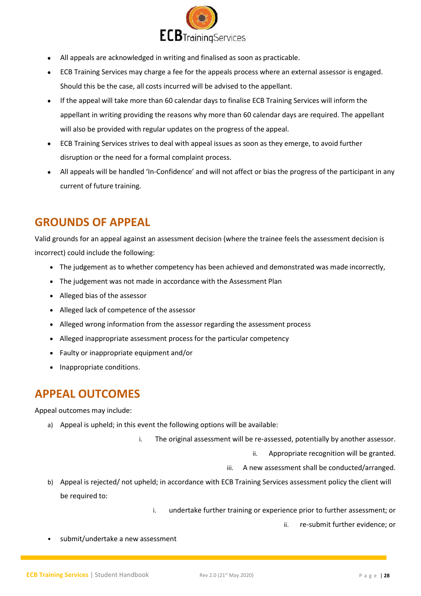

- All appeals are acknowledged in writing and finalised as soon as practicable.
- ECB Training Services may charge a fee for the appeals process where an external assessor is engaged. Should this be the case, all costs incurred will be advised to the appellant.
- If the appeal will take more than 60 calendar days to finalise ECB Training Services will inform the appellant in writing providing the reasons why more than 60 calendar days are required. The appellant will also be provided with regular updates on the progress of the appeal.
- ECB Training Services strives to deal with appeal issues as soon as they emerge, to avoid further disruption or the need for a formal complaint process.
- All appeals will be handled 'In-Confidence' and will not affect or bias the progress of the participant in any current of future training.

### <span id="page-27-0"></span>**GROUNDS OF APPEAL**

Valid grounds for an appeal against an assessment decision (where the trainee feels the assessment decision is incorrect) could include the following:

- The judgement as to whether competency has been achieved and demonstrated was made incorrectly,
- The judgement was not made in accordance with the Assessment Plan
- Alleged bias of the assessor
- Alleged lack of competence of the assessor
- Alleged wrong information from the assessor regarding the assessment process
- Alleged inappropriate assessment process for the particular competency
- Faulty or inappropriate equipment and/or
- Inappropriate conditions.

### <span id="page-27-1"></span>**APPEAL OUTCOMES**

Appeal outcomes may include:

- a) Appeal is upheld; in this event the following options will be available:
	- i. The original assessment will be re-assessed, potentially by another assessor.
		- ii. Appropriate recognition will be granted.
		- iii. A new assessment shall be conducted/arranged.
- b) Appeal is rejected/ not upheld; in accordance with ECB Training Services assessment policy the client will be required to:

i. undertake further training or experience prior to further assessment; or

ii. re-submit further evidence; or

submit/undertake a new assessment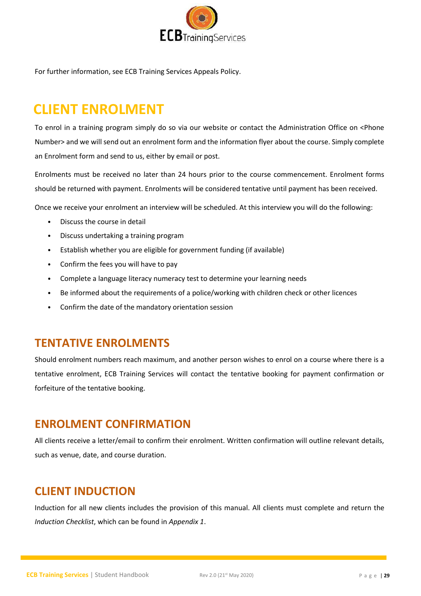

For further information, see ECB Training Services Appeals Policy.

### <span id="page-28-0"></span>**CLIENT ENROLMENT**

To enrol in a training program simply do so via our website or contact the Administration Office on <Phone Number> and we will send out an enrolment form and the information flyer about the course. Simply complete an Enrolment form and send to us, either by email or post.

Enrolments must be received no later than 24 hours prior to the course commencement. Enrolment forms should be returned with payment. Enrolments will be considered tentative until payment has been received.

Once we receive your enrolment an interview will be scheduled. At this interview you will do the following:

- Discuss the course in detail
- Discuss undertaking a training program
- Establish whether you are eligible for government funding (if available)
- Confirm the fees you will have to pay
- Complete a language literacy numeracy test to determine your learning needs
- Be informed about the requirements of a police/working with children check or other licences
- Confirm the date of the mandatory orientation session

#### <span id="page-28-1"></span>**TENTATIVE ENROLMENTS**

Should enrolment numbers reach maximum, and another person wishes to enrol on a course where there is a tentative enrolment, ECB Training Services will contact the tentative booking for payment confirmation or forfeiture of the tentative booking.

#### <span id="page-28-2"></span>**ENROLMENT CONFIRMATION**

All clients receive a letter/email to confirm their enrolment. Written confirmation will outline relevant details, such as venue, date, and course duration.

#### <span id="page-28-3"></span>**CLIENT INDUCTION**

Induction for all new clients includes the provision of this manual. All clients must complete and return the *Induction Checklist*, which can be found in *Appendix 1*.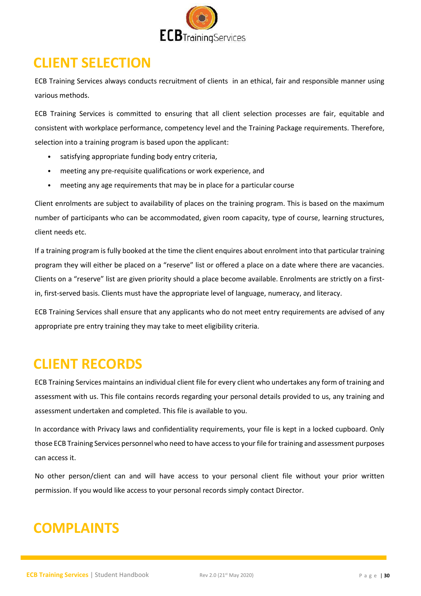

# <span id="page-29-0"></span>**CLIENT SELECTION**

ECB Training Services always conducts recruitment of clients in an ethical, fair and responsible manner using various methods.

ECB Training Services is committed to ensuring that all client selection processes are fair, equitable and consistent with workplace performance, competency level and the Training Package requirements. Therefore, selection into a training program is based upon the applicant:

- satisfying appropriate funding body entry criteria,
- meeting any pre-requisite qualifications or work experience, and
- meeting any age requirements that may be in place for a particular course

Client enrolments are subject to availability of places on the training program. This is based on the maximum number of participants who can be accommodated, given room capacity, type of course, learning structures, client needs etc.

If a training program is fully booked at the time the client enquires about enrolment into that particular training program they will either be placed on a "reserve" list or offered a place on a date where there are vacancies. Clients on a "reserve" list are given priority should a place become available. Enrolments are strictly on a firstin, first-served basis. Clients must have the appropriate level of language, numeracy, and literacy.

ECB Training Services shall ensure that any applicants who do not meet entry requirements are advised of any appropriate pre entry training they may take to meet eligibility criteria.

### <span id="page-29-1"></span>**CLIENT RECORDS**

ECB Training Services maintains an individual client file for every client who undertakes any form of training and assessment with us. This file contains records regarding your personal details provided to us, any training and assessment undertaken and completed. This file is available to you.

In accordance with Privacy laws and confidentiality requirements, your file is kept in a locked cupboard. Only those ECB Training Services personnel who need to have access to your file for training and assessment purposes can access it.

No other person/client can and will have access to your personal client file without your prior written permission. If you would like access to your personal records simply contact Director.

### <span id="page-29-2"></span>**COMPLAINTS**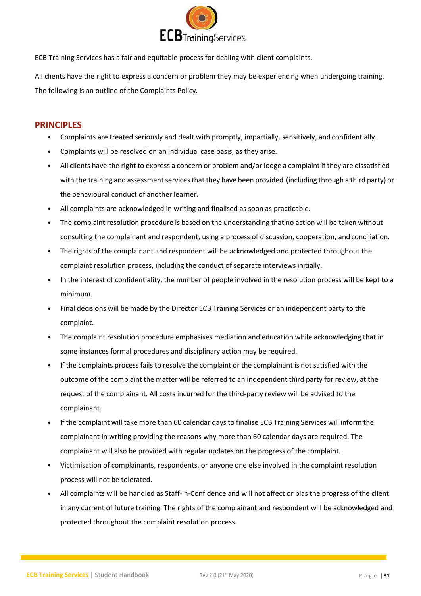

ECB Training Services has a fair and equitable process for dealing with client complaints.

All clients have the right to express a concern or problem they may be experiencing when undergoing training. The following is an outline of the Complaints Policy.

#### **PRINCIPLES**

- Complaints are treated seriously and dealt with promptly, impartially, sensitively, and confidentially.
- Complaints will be resolved on an individual case basis, as they arise.
- All clients have the right to express a concern or problem and/or lodge a complaint if they are dissatisfied with the training and assessment services that they have been provided (including through a third party) or the behavioural conduct of another learner.
- All complaints are acknowledged in writing and finalised as soon as practicable.
- The complaint resolution procedure is based on the understanding that no action will be taken without consulting the complainant and respondent, using a process of discussion, cooperation, and conciliation.
- The rights of the complainant and respondent will be acknowledged and protected throughout the complaint resolution process, including the conduct of separate interviews initially.
- In the interest of confidentiality, the number of people involved in the resolution process will be kept to a minimum.
- Final decisions will be made by the Director ECB Training Services or an independent party to the complaint.
- The complaint resolution procedure emphasises mediation and education while acknowledging that in some instances formal procedures and disciplinary action may be required.
- If the complaints process fails to resolve the complaint or the complainant is not satisfied with the outcome of the complaint the matter will be referred to an independent third party for review, at the request of the complainant. All costs incurred for the third-party review will be advised to the complainant.
- If the complaint will take more than 60 calendar daysto finalise ECB Training Services will inform the complainant in writing providing the reasons why more than 60 calendar days are required. The complainant will also be provided with regular updates on the progress of the complaint.
- Victimisation of complainants, respondents, or anyone one else involved in the complaint resolution process will not be tolerated.
- All complaints will be handled as Staff-In-Confidence and will not affect or bias the progress of the client in any current of future training. The rights of the complainant and respondent will be acknowledged and protected throughout the complaint resolution process.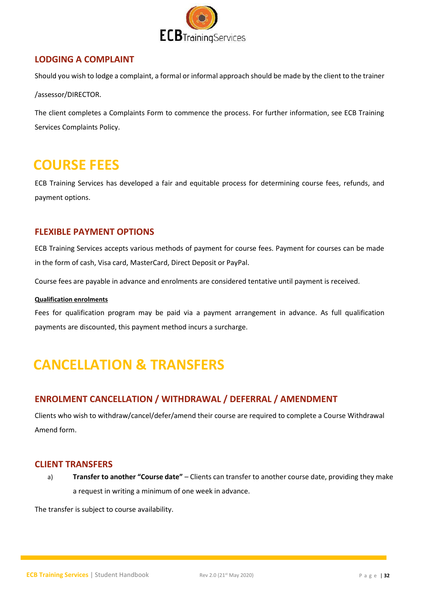

#### **LODGING A COMPLAINT**

Should you wish to lodge a complaint, a formal or informal approach should be made by the client to the trainer

/assessor/DIRECTOR.

The client completes a Complaints Form to commence the process. For further information, see ECB Training Services Complaints Policy.

### <span id="page-31-0"></span>**COURSE FEES**

ECB Training Services has developed a fair and equitable process for determining course fees, refunds, and payment options.

#### **FLEXIBLE PAYMENT OPTIONS**

ECB Training Services accepts various methods of payment for course fees. Payment for courses can be made in the form of cash, Visa card, MasterCard, Direct Deposit or PayPal.

Course fees are payable in advance and enrolments are considered tentative until payment is received.

#### **Qualification enrolments**

Fees for qualification program may be paid via a payment arrangement in advance. As full qualification payments are discounted, this payment method incurs a surcharge.

# <span id="page-31-1"></span>**CANCELLATION & TRANSFERS**

#### **ENROLMENT CANCELLATION / WITHDRAWAL / DEFERRAL / AMENDMENT**

Clients who wish to withdraw/cancel/defer/amend their course are required to complete a Course Withdrawal Amend form.

#### **CLIENT TRANSFERS**

a) **Transfer to another "Course date"** – Clients can transfer to another course date, providing they make a request in writing a minimum of one week in advance.

The transfer is subject to course availability.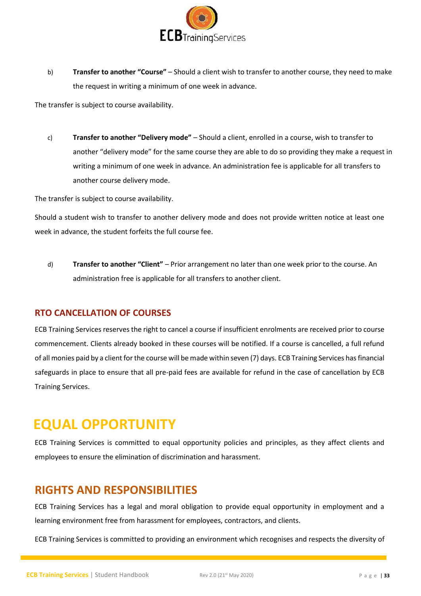

b) **Transfer to another "Course"** – Should a client wish to transfer to another course, they need to make the request in writing a minimum of one week in advance.

The transfer is subject to course availability.

c) **Transfer to another "Delivery mode"** – Should a client, enrolled in a course, wish to transfer to another "delivery mode" for the same course they are able to do so providing they make a request in writing a minimum of one week in advance. An administration fee is applicable for all transfers to another course delivery mode.

The transfer is subject to course availability.

Should a student wish to transfer to another delivery mode and does not provide written notice at least one week in advance, the student forfeits the full course fee.

d) **Transfer to another "Client"** – Prior arrangement no later than one week prior to the course. An administration free is applicable for all transfers to another client.

#### **RTO CANCELLATION OF COURSES**

ECB Training Services reserves the right to cancel a course if insufficient enrolments are received prior to course commencement. Clients already booked in these courses will be notified. If a course is cancelled, a full refund of all monies paid by a client for the course will be made within seven (7) days. ECB Training Services has financial safeguards in place to ensure that all pre-paid fees are available for refund in the case of cancellation by ECB Training Services.

### <span id="page-32-0"></span>**EQUAL OPPORTUNITY**

ECB Training Services is committed to equal opportunity policies and principles, as they affect clients and employees to ensure the elimination of discrimination and harassment.

#### <span id="page-32-1"></span>**RIGHTS AND RESPONSIBILITIES**

ECB Training Services has a legal and moral obligation to provide equal opportunity in employment and a learning environment free from harassment for employees, contractors, and clients.

ECB Training Services is committed to providing an environment which recognises and respects the diversity of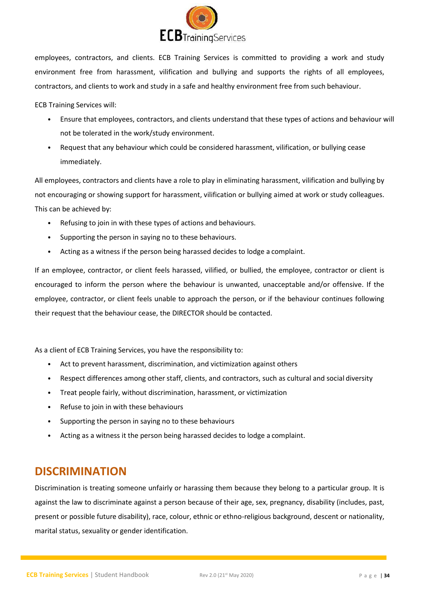

employees, contractors, and clients. ECB Training Services is committed to providing a work and study environment free from harassment, vilification and bullying and supports the rights of all employees, contractors, and clients to work and study in a safe and healthy environment free from such behaviour.

ECB Training Services will:

- Ensure that employees, contractors, and clients understand that these types of actions and behaviour will not be tolerated in the work/study environment.
- Request that any behaviour which could be considered harassment, vilification, or bullying cease immediately.

All employees, contractors and clients have a role to play in eliminating harassment, vilification and bullying by not encouraging or showing support for harassment, vilification or bullying aimed at work or study colleagues. This can be achieved by:

- Refusing to join in with these types of actions and behaviours.
- Supporting the person in saying no to these behaviours.
- Acting as a witness if the person being harassed decides to lodge a complaint.

If an employee, contractor, or client feels harassed, vilified, or bullied, the employee, contractor or client is encouraged to inform the person where the behaviour is unwanted, unacceptable and/or offensive. If the employee, contractor, or client feels unable to approach the person, or if the behaviour continues following their request that the behaviour cease, the DIRECTOR should be contacted.

As a client of ECB Training Services, you have the responsibility to:

- Act to prevent harassment, discrimination, and victimization against others
- Respect differences among other staff, clients, and contractors, such as cultural and social diversity
- Treat people fairly, without discrimination, harassment, or victimization
- Refuse to join in with these behaviours
- Supporting the person in saying no to these behaviours
- Acting as a witness it the person being harassed decides to lodge a complaint.

#### <span id="page-33-0"></span>**DISCRIMINATION**

Discrimination is treating someone unfairly or harassing them because they belong to a particular group. It is against the law to discriminate against a person because of their age, sex, pregnancy, disability (includes, past, present or possible future disability), race, colour, ethnic or ethno-religious background, descent or nationality, marital status, sexuality or gender identification.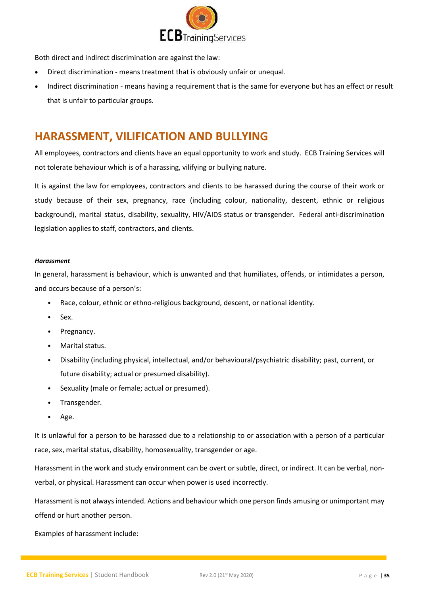

Both direct and indirect discrimination are against the law:

- Direct discrimination means treatment that is obviously unfair or unequal.
- Indirect discrimination means having a requirement that is the same for everyone but has an effect or result that is unfair to particular groups.

#### <span id="page-34-0"></span>**HARASSMENT, VILIFICATION AND BULLYING**

All employees, contractors and clients have an equal opportunity to work and study. ECB Training Services will not tolerate behaviour which is of a harassing, vilifying or bullying nature.

It is against the law for employees, contractors and clients to be harassed during the course of their work or study because of their sex, pregnancy, race (including colour, nationality, descent, ethnic or religious background), marital status, disability, sexuality, HIV/AIDS status or transgender. Federal anti-discrimination legislation applies to staff, contractors, and clients.

#### *Harassment*

In general, harassment is behaviour, which is unwanted and that humiliates, offends, or intimidates a person, and occurs because of a person's:

- Race, colour, ethnic or ethno-religious background, descent, or national identity.
- Sex.
- Pregnancy.
- Marital status.
- Disability (including physical, intellectual, and/or behavioural/psychiatric disability; past, current, or future disability; actual or presumed disability).
- Sexuality (male or female; actual or presumed).
- Transgender.
- Age.

It is unlawful for a person to be harassed due to a relationship to or association with a person of a particular race, sex, marital status, disability, homosexuality, transgender or age.

Harassment in the work and study environment can be overt or subtle, direct, or indirect. It can be verbal, nonverbal, or physical. Harassment can occur when power is used incorrectly.

Harassment is not always intended. Actions and behaviour which one person finds amusing or unimportant may offend or hurt another person.

Examples of harassment include: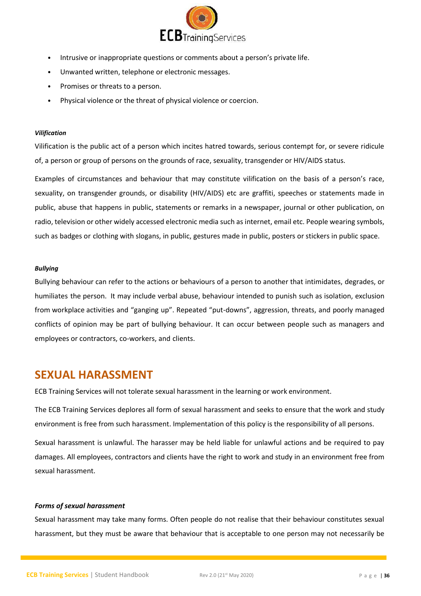

- Intrusive or inappropriate questions or comments about a person's private life.
- Unwanted written, telephone or electronic messages.
- Promises or threats to a person.
- Physical violence or the threat of physical violence or coercion.

#### *Vilification*

Vilification is the public act of a person which incites hatred towards, serious contempt for, or severe ridicule of, a person or group of persons on the grounds of race, sexuality, transgender or HIV/AIDS status.

Examples of circumstances and behaviour that may constitute vilification on the basis of a person's race, sexuality, on transgender grounds, or disability (HIV/AIDS) etc are graffiti, speeches or statements made in public, abuse that happens in public, statements or remarks in a newspaper, journal or other publication, on radio, television or other widely accessed electronic media such as internet, email etc. People wearing symbols, such as badges or clothing with slogans, in public, gestures made in public, posters or stickers in public space.

#### *Bullying*

Bullying behaviour can refer to the actions or behaviours of a person to another that intimidates, degrades, or humiliates the person. It may include verbal abuse, behaviour intended to punish such as isolation, exclusion from workplace activities and "ganging up". Repeated "put-downs", aggression, threats, and poorly managed conflicts of opinion may be part of bullying behaviour. It can occur between people such as managers and employees or contractors, co-workers, and clients.

#### <span id="page-35-0"></span>**SEXUAL HARASSMENT**

ECB Training Services will not tolerate sexual harassment in the learning or work environment.

The ECB Training Services deplores all form of sexual harassment and seeks to ensure that the work and study environment is free from such harassment. Implementation of this policy is the responsibility of all persons.

Sexual harassment is unlawful. The harasser may be held liable for unlawful actions and be required to pay damages. All employees, contractors and clients have the right to work and study in an environment free from sexual harassment.

#### *Forms of sexual harassment*

Sexual harassment may take many forms. Often people do not realise that their behaviour constitutes sexual harassment, but they must be aware that behaviour that is acceptable to one person may not necessarily be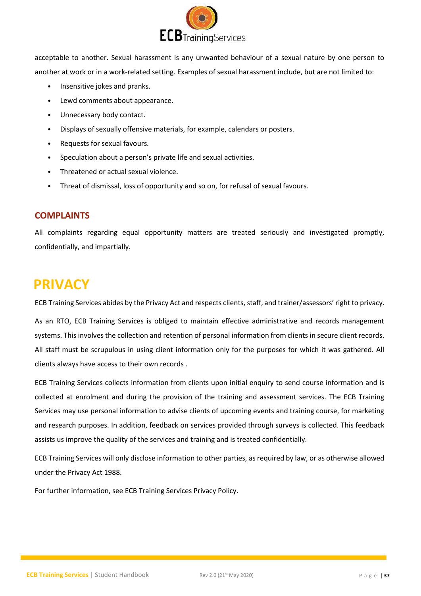

acceptable to another. Sexual harassment is any unwanted behaviour of a sexual nature by one person to another at work or in a work-related setting. Examples of sexual harassment include, but are not limited to:

- Insensitive jokes and pranks.
- Lewd comments about appearance.
- Unnecessary body contact.
- Displays of sexually offensive materials, for example, calendars or posters.
- Requests for sexual favours.
- Speculation about a person's private life and sexual activities.
- Threatened or actual sexual violence.
- Threat of dismissal, loss of opportunity and so on, for refusal of sexual favours.

#### **COMPLAINTS**

All complaints regarding equal opportunity matters are treated seriously and investigated promptly, confidentially, and impartially.

### <span id="page-36-0"></span>**PRIVACY**

ECB Training Services abides by the Privacy Act and respects clients, staff, and trainer/assessors' right to privacy.

As an RTO, ECB Training Services is obliged to maintain effective administrative and records management systems. This involves the collection and retention of personal information from clients in secure client records. All staff must be scrupulous in using client information only for the purposes for which it was gathered. All clients always have access to their own records .

ECB Training Services collects information from clients upon initial enquiry to send course information and is collected at enrolment and during the provision of the training and assessment services. The ECB Training Services may use personal information to advise clients of upcoming events and training course, for marketing and research purposes. In addition, feedback on services provided through surveys is collected. This feedback assists us improve the quality of the services and training and is treated confidentially.

ECB Training Services will only disclose information to other parties, as required by law, or as otherwise allowed under the Privacy Act 1988.

For further information, see ECB Training Services Privacy Policy.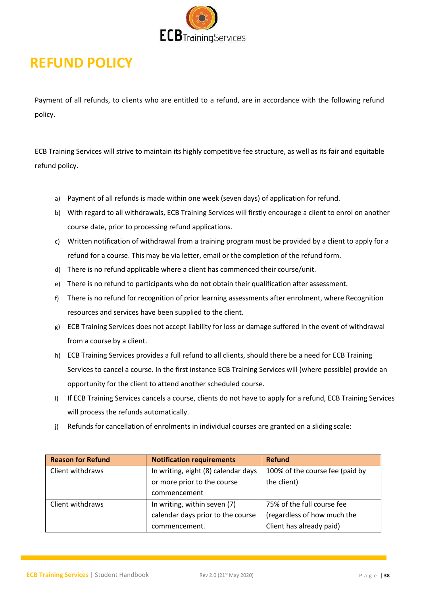

# <span id="page-37-0"></span>**REFUND POLICY**

Payment of all refunds, to clients who are entitled to a refund, are in accordance with the following refund policy.

ECB Training Services will strive to maintain its highly competitive fee structure, as well as its fair and equitable refund policy.

- a) Payment of all refunds is made within one week (seven days) of application forrefund.
- b) With regard to all withdrawals, ECB Training Services will firstly encourage a client to enrol on another course date, prior to processing refund applications.
- c) Written notification of withdrawal from a training program must be provided by a client to apply for a refund for a course. This may be via letter, email or the completion of the refund form.
- d) There is no refund applicable where a client has commenced their course/unit.
- e) There is no refund to participants who do not obtain their qualification after assessment.
- f) There is no refund for recognition of prior learning assessments after enrolment, where Recognition resources and services have been supplied to the client.
- g) ECB Training Services does not accept liability for loss or damage suffered in the event of withdrawal from a course by a client.
- h) ECB Training Services provides a full refund to all clients, should there be a need for ECB Training Services to cancel a course. In the first instance ECB Training Services will (where possible) provide an opportunity for the client to attend another scheduled course.
- i) If ECB Training Services cancels a course, clients do not have to apply for a refund, ECB Training Services will process the refunds automatically.
- j) Refunds for cancellation of enrolments in individual courses are granted on a sliding scale:

| <b>Reason for Refund</b> | <b>Notification requirements</b>    | <b>Refund</b>                   |
|--------------------------|-------------------------------------|---------------------------------|
| Client withdraws         | In writing, eight (8) calendar days | 100% of the course fee (paid by |
|                          | or more prior to the course         | the client)                     |
|                          | commencement                        |                                 |
| Client withdraws         | In writing, within seven (7)        | 75% of the full course fee      |
|                          | calendar days prior to the course   | (regardless of how much the     |
|                          | commencement.                       | Client has already paid)        |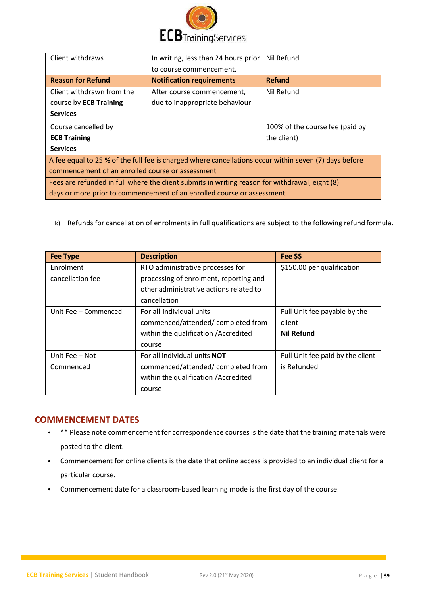

| Client withdraws                                                                                      | In writing, less than 24 hours prior | Nil Refund                      |
|-------------------------------------------------------------------------------------------------------|--------------------------------------|---------------------------------|
|                                                                                                       | to course commencement.              |                                 |
| <b>Reason for Refund</b>                                                                              | <b>Notification requirements</b>     | <b>Refund</b>                   |
| Client withdrawn from the                                                                             | After course commencement,           | Nil Refund                      |
| course by ECB Training                                                                                | due to inappropriate behaviour       |                                 |
| <b>Services</b>                                                                                       |                                      |                                 |
| Course cancelled by                                                                                   |                                      | 100% of the course fee (paid by |
| <b>ECB Training</b>                                                                                   |                                      | the client)                     |
| <b>Services</b>                                                                                       |                                      |                                 |
| A fee equal to 25 % of the full fee is charged where cancellations occur within seven (7) days before |                                      |                                 |
| commencement of an enrolled course or assessment                                                      |                                      |                                 |
| Fees are refunded in full where the client submits in writing reason for withdrawal, eight (8)        |                                      |                                 |
| days or more prior to commencement of an enrolled course or assessment                                |                                      |                                 |

k) Refunds for cancellation of enrolments in full qualifications are subject to the following refund formula.

| <b>Fee Type</b>      | <b>Description</b>                      | Fee \$\$                         |
|----------------------|-----------------------------------------|----------------------------------|
| Enrolment            | RTO administrative processes for        | \$150.00 per qualification       |
| cancellation fee     | processing of enrolment, reporting and  |                                  |
|                      | other administrative actions related to |                                  |
|                      | cancellation                            |                                  |
| Unit Fee - Commenced | For all individual units                | Full Unit fee payable by the     |
|                      | commenced/attended/completed from       | client                           |
|                      | within the qualification / Accredited   | <b>Nil Refund</b>                |
|                      | course                                  |                                  |
| Unit Fee - Not       | For all individual units <b>NOT</b>     | Full Unit fee paid by the client |
| Commenced            | commenced/attended/completed from       | is Refunded                      |
|                      | within the qualification / Accredited   |                                  |
|                      | course                                  |                                  |

#### **COMMENCEMENT DATES**

- \*\* Please note commencement for correspondence courses is the date that the training materials were posted to the client.
- Commencement for online clients is the date that online access is provided to an individual client for a particular course.
- Commencement date for a classroom-based learning mode is the first day of the course.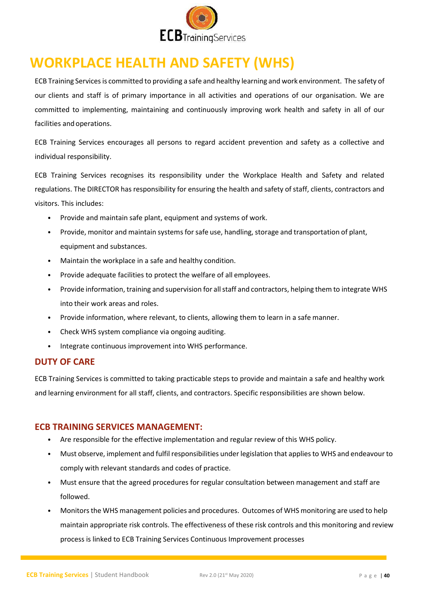

# <span id="page-39-0"></span>**WORKPLACE HEALTH AND SAFETY (WHS)**

ECB Training Servicesis committed to providing a safe and healthy learning and work environment. The safety of our clients and staff is of primary importance in all activities and operations of our organisation. We are committed to implementing, maintaining and continuously improving work health and safety in all of our facilities and operations.

ECB Training Services encourages all persons to regard accident prevention and safety as a collective and individual responsibility.

ECB Training Services recognises its responsibility under the Workplace Health and Safety and related regulations. The DIRECTOR has responsibility for ensuring the health and safety of staff, clients, contractors and visitors. This includes:

- Provide and maintain safe plant, equipment and systems of work.
- Provide, monitor and maintain systems for safe use, handling, storage and transportation of plant, equipment and substances.
- Maintain the workplace in a safe and healthy condition.
- Provide adequate facilities to protect the welfare of all employees.
- Provide information, training and supervision for all staff and contractors, helping them to integrate WHS into their work areas and roles.
- Provide information, where relevant, to clients, allowing them to learn in a safe manner.
- Check WHS system compliance via ongoing auditing.
- Integrate continuous improvement into WHS performance.

#### **DUTY OF CARE**

ECB Training Services is committed to taking practicable steps to provide and maintain a safe and healthy work and learning environment for all staff, clients, and contractors. Specific responsibilities are shown below.

#### **ECB TRAINING SERVICES MANAGEMENT:**

- Are responsible for the effective implementation and regular review of this WHS policy.
- Must observe, implement and fulfil responsibilities under legislation that appliesto WHS and endeavour to comply with relevant standards and codes of practice.
- Must ensure that the agreed procedures for regular consultation between management and staff are followed.
- Monitorsthe WHS management policies and procedures. Outcomes of WHS monitoring are used to help maintain appropriate risk controls. The effectiveness of these risk controls and this monitoring and review process is linked to ECB Training Services Continuous Improvement processes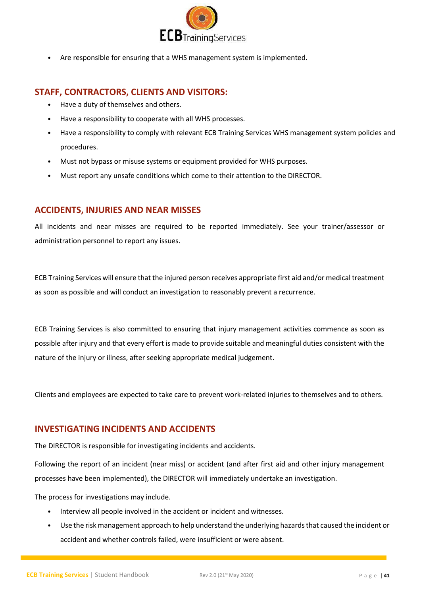

• Are responsible for ensuring that a WHS management system is implemented.

#### **STAFF, CONTRACTORS, CLIENTS AND VISITORS:**

- Have a duty of themselves and others.
- Have a responsibility to cooperate with all WHS processes.
- Have a responsibility to comply with relevant ECB Training Services WHS management system policies and procedures.
- Must not bypass or misuse systems or equipment provided for WHS purposes.
- Must report any unsafe conditions which come to their attention to the DIRECTOR.

#### **ACCIDENTS, INJURIES AND NEAR MISSES**

All incidents and near misses are required to be reported immediately. See your trainer/assessor or administration personnel to report any issues.

ECB Training Services will ensure that the injured person receives appropriate first aid and/or medical treatment as soon as possible and will conduct an investigation to reasonably prevent a recurrence.

ECB Training Services is also committed to ensuring that injury management activities commence as soon as possible after injury and that every effort is made to provide suitable and meaningful duties consistent with the nature of the injury or illness, after seeking appropriate medical judgement.

Clients and employees are expected to take care to prevent work-related injuries to themselves and to others.

#### **INVESTIGATING INCIDENTS AND ACCIDENTS**

The DIRECTOR is responsible for investigating incidents and accidents.

Following the report of an incident (near miss) or accident (and after first aid and other injury management processes have been implemented), the DIRECTOR will immediately undertake an investigation.

The process for investigations may include.

- Interview all people involved in the accident or incident and witnesses.
- Use the risk management approach to help understand the underlying hazardsthat caused the incident or accident and whether controls failed, were insufficient or were absent.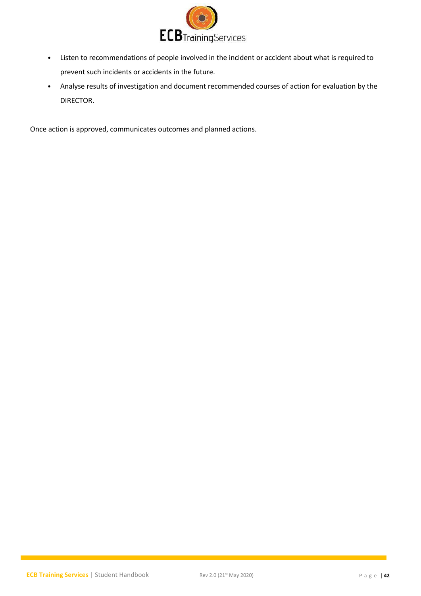

- Listen to recommendations of people involved in the incident or accident about what is required to prevent such incidents or accidents in the future.
- Analyse results of investigation and document recommended courses of action for evaluation by the DIRECTOR.

Once action is approved, communicates outcomes and planned actions.